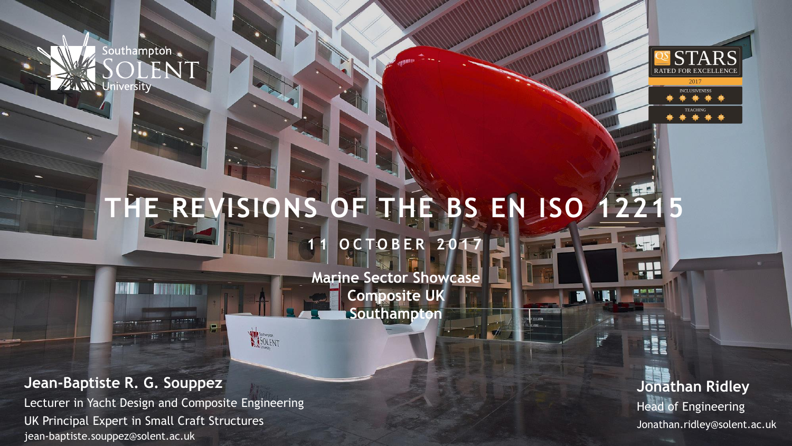Southampton **ALLIN University** 



**TEACHING** 

## **THE REVISIONS OF THE BS EN ISO 12215 0 C T O B E R 20 17**

**Marine Sector Showcase Composite UK Southampton**

**Jean-Baptiste R. G. Souppez**

Lecturer in Yacht Design and Composite Engineering jean-baptiste.souppez@solent.ac.uk UK Principal Expert in Small Craft Structures

SOLENT

**Jonathan Ridley Head of Engineering** Jonathan.ridley@solent.ac.uk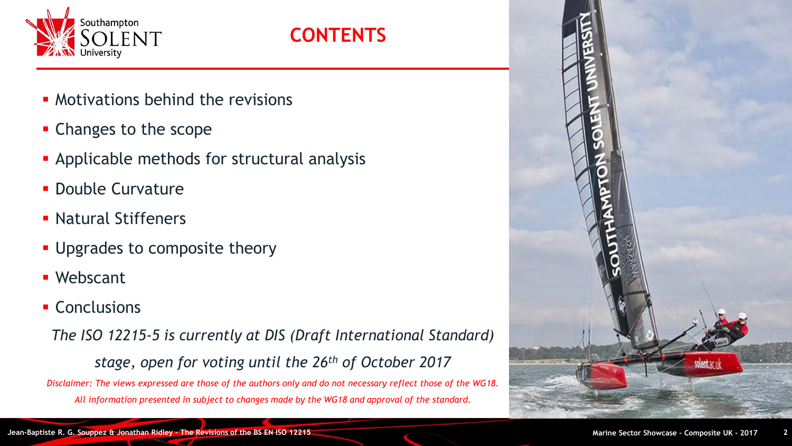

### **CONTENTS**

- **Motivations behind the revisions**
- **Changes to the scope**
- **EXPLOSE Applicable methods for structural analysis**
- **Double Curvature**
- Natural Stiffeners
- **.** Upgrades to composite theory
- Webscant
- Conclusions

*The ISO 12215-5 is currently at DIS (Draft International Standard) stage, open for voting until the 26th of October 2017* Disclaimer: The views expressed are those of the authors only and do not necessary reflect those of the WG18. *All information presented in subject to changes made by the WG18 and approval of the standard.*

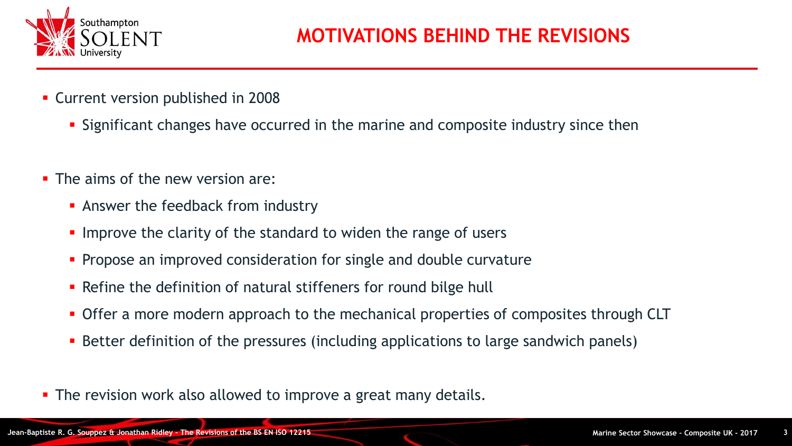

- **EXECUTE: Current version published in 2008** 
	- **E** Significant changes have occurred in the marine and composite industry since then
- $\blacksquare$  The aims of the new version are:
	- **EX Answer the feedback from industry**
	- **.** Improve the clarity of the standard to widen the range of users
	- **Propose an improved consideration for single and double curvature**
	- Refine the definition of natural stiffeners for round bilge hull
	- **Offer a more modern approach to the mechanical properties of composites through CLT**
	- Better definition of the pressures (including applications to large sandwich panels)
- The revision work also allowed to improve a great many details.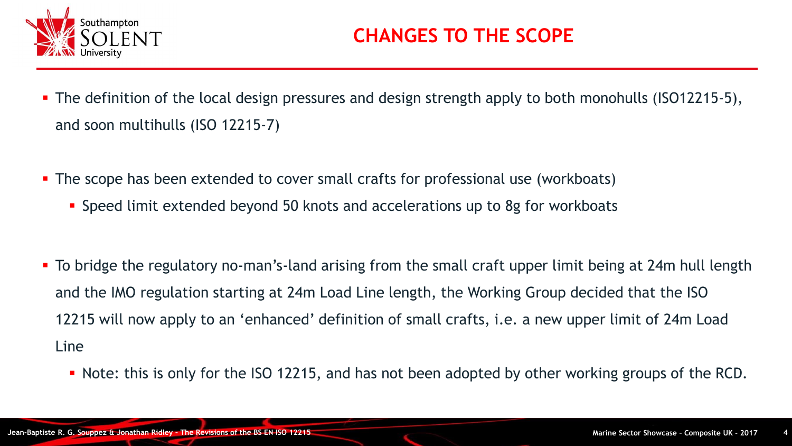

- The definition of the local design pressures and design strength apply to both monohulls (ISO12215-5), and soon multihulls (ISO 12215-7)
- **The scope has been extended to cover small crafts for professional use (workboats)** 
	- **Speed limit extended beyond 50 knots and accelerations up to 8g for workboats**
- To bridge the regulatory no-man's-land arising from the small craft upper limit being at 24m hull length and the IMO regulation starting at 24m Load Line length, the Working Group decided that the ISO 12215 will now apply to an 'enhanced' definition of small crafts, i.e. a new upper limit of 24m Load Line
	- Note: this is only for the ISO 12215, and has not been adopted by other working groups of the RCD.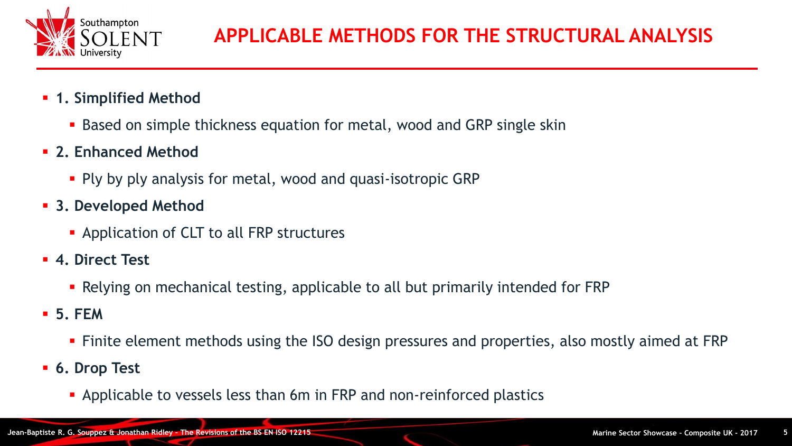

- **1. Simplified Method** 
	- Based on simple thickness equation for metal, wood and GRP single skin
- **2. Enhanced Method**
	- **Ply by ply analysis for metal, wood and quasi-isotropic GRP**
- **3. Developed Method**
	- **EXA** Application of CLT to all FRP structures
- **4. Direct Test**
	- Relying on mechanical testing, applicable to all but primarily intended for FRP
- **5. FEM**
	- Finite element methods using the ISO design pressures and properties, also mostly aimed at FRP
- **6. Drop Test**
	- **EXAPPLE 10 Applicable to vessels less than 6m in FRP and non-reinforced plastics**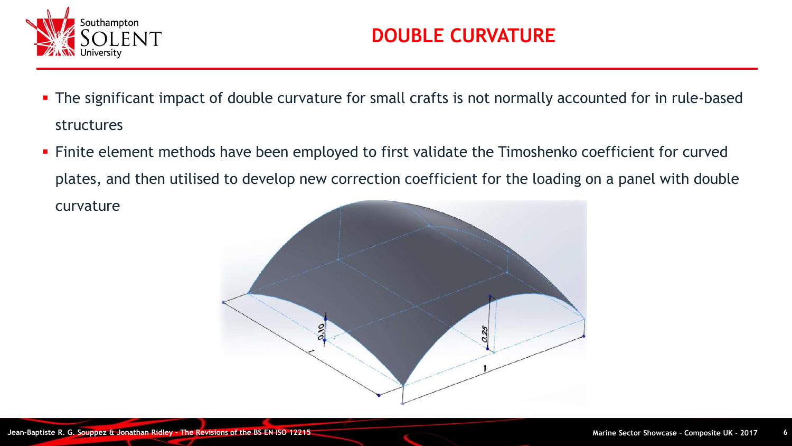

- **The significant impact of double curvature for small crafts is not normally accounted for in rule-based** structures
- **·** Finite element methods have been employed to first validate the Timoshenko coefficient for curved plates, and then utilised to develop new correction coefficient for the loading on a panel with double curvature

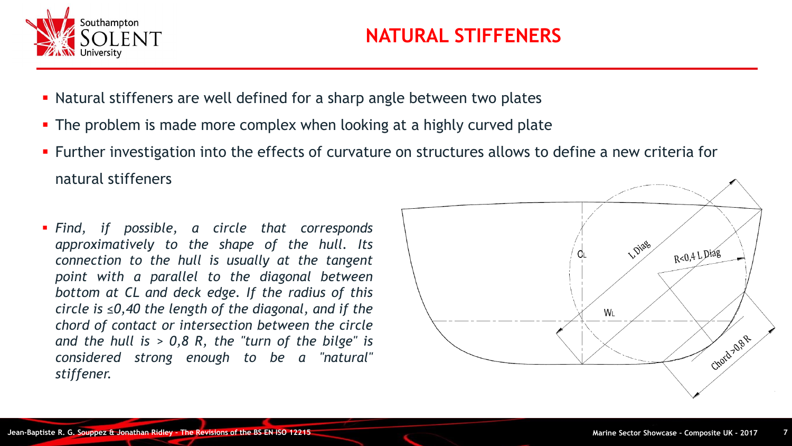

- Natural stiffeners are well defined for a sharp angle between two plates
- The problem is made more complex when looking at a highly curved plate
- **EXT** Further investigation into the effects of curvature on structures allows to define a new criteria for natural stiffeners
- *Find, if possible, a circle that corresponds approximatively to the shape of the hull. Its connection to the hull is usually at the tangent point with a parallel to the diagonal between bottom at CL and deck edge. If the radius of this circle is ≤0,40 the length of the diagonal, and if the chord of contact or intersection between the circle and the hull is > 0,8 R, the "turn of the bilge" is considered strong enough to be a "natural" stiffener.*

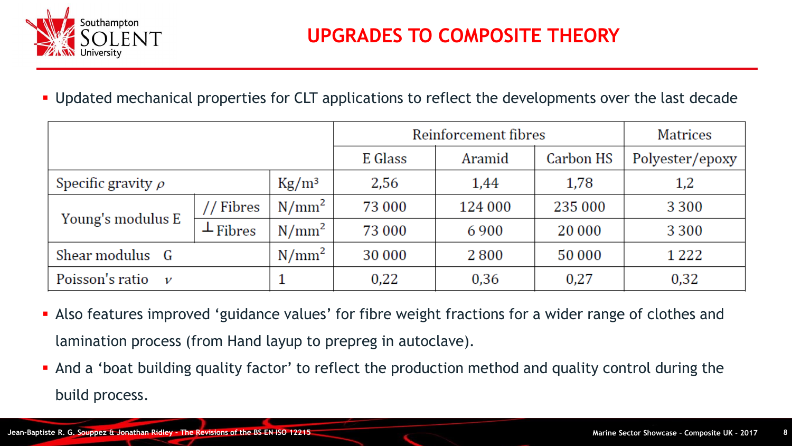

#### **.** Updated mechanical properties for CLT applications to reflect the developments over the last decade

|                                  |                |                        | Reinforcement fibres |         |           | <b>Matrices</b> |
|----------------------------------|----------------|------------------------|----------------------|---------|-----------|-----------------|
|                                  |                |                        | E Glass              | Aramid  | Carbon HS | Polyester/epoxy |
| Specific gravity $\rho$          |                | $\text{Kg}/\text{m}^3$ | 2,56                 | 1,44    | 1,78      | 1,2             |
| Young's modulus E                | // Fibres      | $N/mm^2$               | 73 000               | 124 000 | 235 000   | 3 3 0 0         |
|                                  | $\perp$ Fibres | $N/mm^2$               | 73 000               | 6900    | 20 000    | 3 3 0 0         |
| Shear modulus G                  |                | $N/mm^2$               | 30 000               | 2800    | 50 000    | 1 2 2 2         |
| Poisson's ratio<br>$\mathcal{V}$ |                |                        | 0,22                 | 0,36    | 0,27      | 0,32            |

- **EX Also features improved 'guidance values' for fibre weight fractions for a wider range of clothes and** lamination process (from Hand layup to prepreg in autoclave).
- **•** And a 'boat building quality factor' to reflect the production method and quality control during the build process.

**START**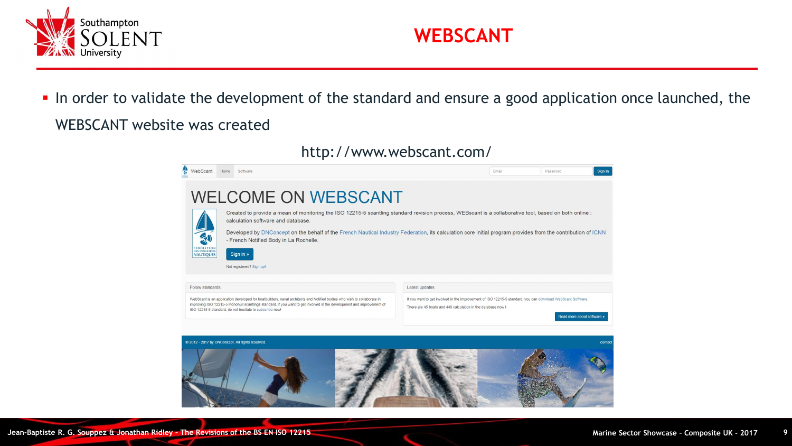



**.** In order to validate the development of the standard and ensure a good application once launched, the WEBSCANT website was created

#### http://www.webscant.com/



 $\sim$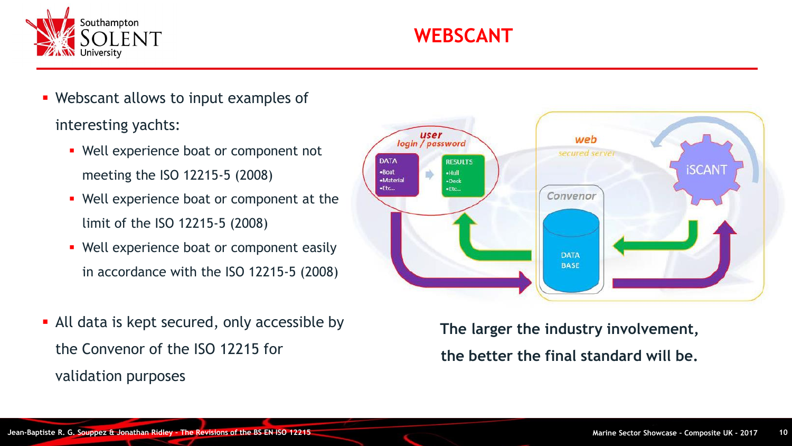

- Webscant allows to input examples of interesting yachts:
	- Well experience boat or component not meeting the ISO 12215-5 (2008)
	- Well experience boat or component at the limit of the ISO 12215-5 (2008)
	- Well experience boat or component easily in accordance with the ISO 12215-5 (2008)
- All data is kept secured, only accessible by the Convenor of the ISO 12215 for validation purposes



**The larger the industry involvement, the better the final standard will be.**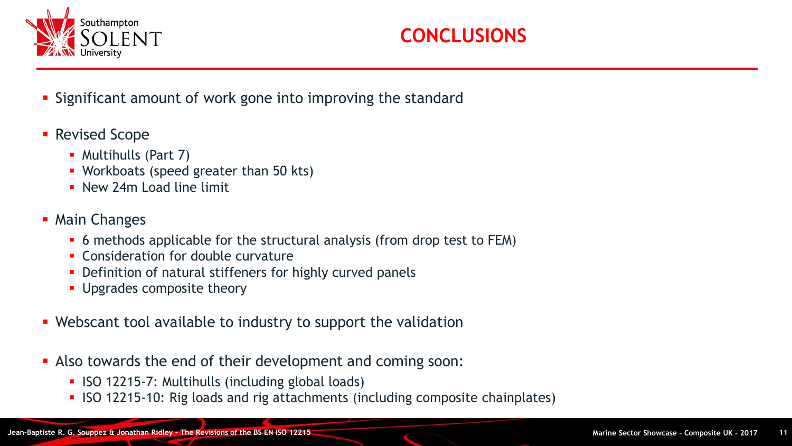

- **Example 2** Significant amount of work gone into improving the standard
- Revised Scope
	- Multihulls (Part 7)
	- Workboats (speed greater than 50 kts)
	- **E** New 24m Load line limit
- Main Changes
	- 6 methods applicable for the structural analysis (from drop test to FEM)
	- **EX Consideration for double curvature**
	- **Definition of natural stiffeners for highly curved panels**
	- **Upgrades composite theory**
- **E** Webscant tool available to industry to support the validation
- **EX Also towards the end of their development and coming soon:** 
	- ISO 12215-7: Multihulls (including global loads)
	- **ISO 12215-10:** Rig loads and rig attachments (including composite chainplates)

**START**